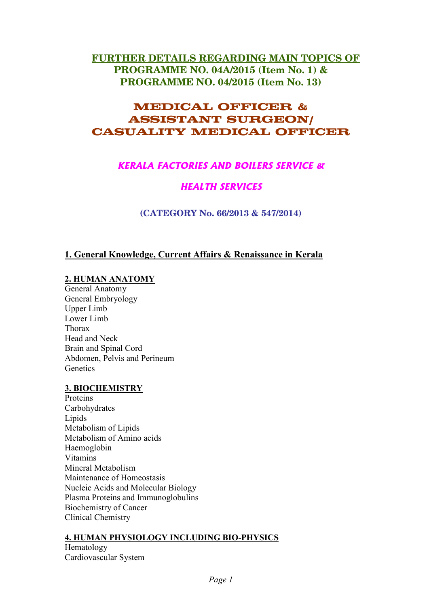# **FURTHER DETAILS REGARDING MAIN TOPICS OF PROGRAMME NO. 04A/2015 (Item No. 1) &** PROGRAMME NO. 04/2015 (Item No. 13)

# **MEDICAL OFFICER & ASSISTANT SURGEON/ CASUALITY MEDICAL OFFICER**

# **KERALA FACTORIES AND BOILERS SERVICE &**

# **HEALTH SERVICES**

(CATEGORY No. 66/2013 & 547/2014)

# 1. General Knowledge, Current Affairs & Renaissance in Kerala

## 2. HUMAN ANATOMY

General Anatomy General Embryology **Upper Limb** Lower Limb Thorax Head and Neck Brain and Spinal Cord Abdomen, Pelvis and Perineum Genetics

## **3. BIOCHEMISTRY**

Proteins Carbohydrates Lipids Metabolism of Lipids Metabolism of Amino acids Haemoglobin **Vitamins** Mineral Metabolism Maintenance of Homeostasis Nucleic Acids and Molecular Biology Plasma Proteins and Immunoglobulins **Biochemistry of Cancer Clinical Chemistry** 

## **4. HUMAN PHYSIOLOGY INCLUDING BIO-PHYSICS**

Hematology Cardiovascular System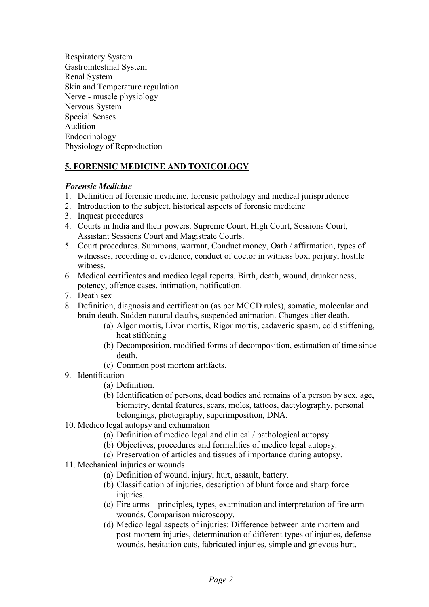**Respiratory System** Gastrointestinal System **Renal System** Skin and Temperature regulation Nerve - muscle physiology Nervous System **Special Senses** Audition Endocrinology Physiology of Reproduction

## 5. FORENSIC MEDICINE AND TOXICOLOGY

## **Forensic Medicine**

- 1. Definition of forensic medicine, forensic pathology and medical jurisprudence
- 2. Introduction to the subject, historical aspects of forensic medicine
- 3. Inquest procedures
- 4. Courts in India and their powers. Supreme Court, High Court, Sessions Court, **Assistant Sessions Court and Magistrate Courts.**
- 5. Court procedures. Summons, warrant, Conduct money, Oath / affirmation, types of witnesses, recording of evidence, conduct of doctor in witness box, perjury, hostile witness
- 6. Medical certificates and medico legal reports. Birth, death, wound, drunkenness, potency, offence cases, intimation, notification.
- 7. Death sex
- 8. Definition, diagnosis and certification (as per MCCD rules), somatic, molecular and brain death. Sudden natural deaths, suspended animation. Changes after death.
	- (a) Algor mortis, Livor mortis, Rigor mortis, cadaveric spasm, cold stiffening, heat stiffening
	- (b) Decomposition, modified forms of decomposition, estimation of time since death.
	- (c) Common post mortem artifacts.

### 9. Identification

- (a) Definition.
- (b) Identification of persons, dead bodies and remains of a person by sex, age, biometry, dental features, scars, moles, tattoos, dactylography, personal belongings, photography, superimposition, DNA.
- 10. Medico legal autopsy and exhumation
	- (a) Definition of medico legal and clinical / pathological autopsy.
	- (b) Objectives, procedures and formalities of medico legal autopsy.
	- (c) Preservation of articles and tissues of importance during autopsy.
- 11. Mechanical injuries or wounds
	- (a) Definition of wound, injury, hurt, assault, battery.
	- (b) Classification of injuries, description of blunt force and sharp force injuries.
	- (c) Fire arms principles, types, examination and interpretation of fire arm wounds. Comparison microscopy.
	- (d) Medico legal aspects of injuries: Difference between ante mortem and post-mortem injuries, determination of different types of injuries, defense wounds, hesitation cuts, fabricated injuries, simple and grievous hurt,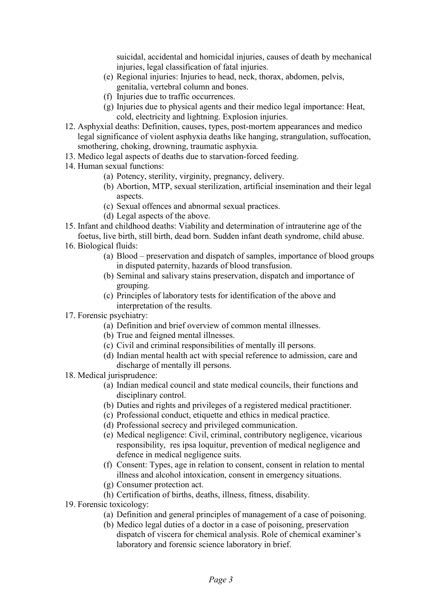suicidal, accidental and homicidal injuries, causes of death by mechanical injuries, legal classification of fatal injuries.

- $(e)$  Regional injuries: Injuries to head, neck, thorax, abdomen, pelvis, genitalia, vertebral column and bones.
- ( $f$ ) Injuries due to traffic occurrences.
- $(g)$  Injuries due to physical agents and their medico legal importance: Heat, cold, electricity and lightning. Explosion injuries.
- 12. Asphyxial deaths: Definition, causes, types, post-mortem appearances and medico legal significance of violent asphyxia deaths like hanging, strangulation, suffocation, smothering, choking, drowning, traumatic asphyxia.
- 13. Medico legal aspects of deaths due to starvation-forced feeding.
- 14. Human sexual functions:
	- (a) Potency, sterility, virginity, pregnancy, delivery.
	- (b) Abortion, MTP, sexual sterilization, artificial insemination and their legal aspects.
	- (c) Sexual offences and abnormal sexual practices.
	- (d) Legal aspects of the above.
- 15. Infant and childhood deaths: Viability and determination of intrauterine age of the foetus, live birth, still birth, dead born. Sudden infant death syndrome, child abuse.
- 16. Biological fluids:
	- (a) B $\alpha$  preservation and dispatch of samples, importance of blood groups in disputed paternity, hazards of blood transfusion.
	- (b) Seminal and salivary stains preservation, dispatch and importance of grouping.
	- (c) Principles of laboratory tests for identification of the above and interpretation of the results.
- 17. Forensic psychiatry:
	- (a) Definition and brief overview of common mental illnesses.
	- (b) True and feigned mental illnesses.
	- $(c)$  Civil and criminal responsibilities of mentally ill persons.
	- (d) Indian mental health act with special reference to admission, care and discharge of mentally ill persons.
- 18. Medical jurisprudence:
	- (a) Indian medical council and state medical councils, their functions and disciplinary control.
	- (b) Duties and rights and privileges of a registered medical practitioner.
	- (c) Professional conduct, etiquette and ethics in medical practice.
	- (d) Professional secrecy and privileged communication.
	- (e) Medical negligence: Civil, criminal, contributory negligence, vicarious responsibility, res ipsa loquitur, prevention of medical negligence and defence in medical negligence suits.
	- $(f)$  Consent: Types, age in relation to consent, consent in relation to mental illness and alcohol intoxication, consent in emergency situations.
	- $(g)$  Consumer protection act.
	- (h) Certification of births, deaths, illness, fitness, disability.
- 19. Forensic toxicology:
	- (a) Definition and general principles of management of a case of poisoning.
	- (b) Medico legal duties of a doctor in a case of poisoning, preservation dispatch of viscera for chemical analysis. Role of chemical examiner's laboratory and forensic science laboratory in brief.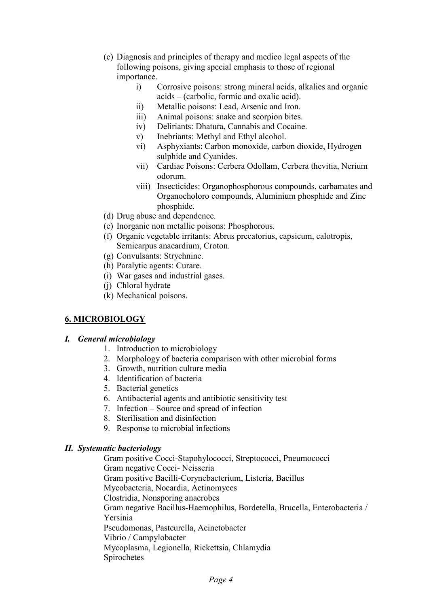- (c) Diagnosis and principles of therapy and medico legal aspects of the following poisons, giving special emphasis to those of regional importance.
	- Corrosive poisons: strong mineral acids, alkalies and organic  $i)$ acids – (carbolic, formic and oxalic acid).
	- Metallic poisons: Lead, Arsenic and Iron.  $\overline{ii}$
	- $\overline{iii}$ Animal poisons: snake and scorpion bites.
	- Deliriants: Dhatura, Cannabis and Cocaine.  $iv)$
	- Inebriants: Methyl and Ethyl alcohol.  $V)$
	- $\overline{vi}$ ) Asphyxiants: Carbon monoxide, carbon dioxide, Hydrogen sulphide and Cyanides.
	- Cardiac Poisons: Cerbera Odollam, Cerbera thevitia, Nerium  $vii)$ odorum
	- viii) Insecticides: Organophosphorous compounds, carbamates and Organocholoro compounds, Aluminium phosphide and Zinc phosphide.
- (d) Drug abuse and dependence.
- (e) Inorganic non metallic poisons: Phosphorous.
- (f) Organic vegetable irritants: Abrus precatorius, capsicum, calotropis, Semicarpus anacardium, Croton.
- (g) Convulsants: Strychnine.
- (h) Paralytic agents: Curare.
- (i) War gases and industrial gases.
- (i) Chloral hydrate
- (k) Mechanical poisons.

### **6. MICROBIOLOGY**

### I. General microbiology

- 1. Introduction to microbiology
- 2. Morphology of bacteria comparison with other microbial forms
- 3. Growth, nutrition culture media
- 4. Identification of bacteria
- 5. Bacterial genetics
- 6. Antibacterial agents and antibiotic sensitivity test
- 7. Infection Source and spread of infection
- 8. Sterilisation and disinfection
- 9. Response to microbial infections

### **II.** Systematic bacteriology

Gram positive Cocci-Stapohylococci, Streptococci, Pneumococci Gram negative Cocci- Neisseria Gram positive Bacilli-Corynebacterium, Listeria, Bacillus Mycobacteria, Nocardia, Actinomyces Clostridia. Nonsporing anaerobes Gram negative Bacillus-Haemophilus, Bordetella, Brucella, Enterobacteria / Yersinia Pseudomonas, Pasteurella, Acinetobacter Vibrio / Campylobacter Mycoplasma, Legionella, Rickettsia, Chlamydia Spirochetes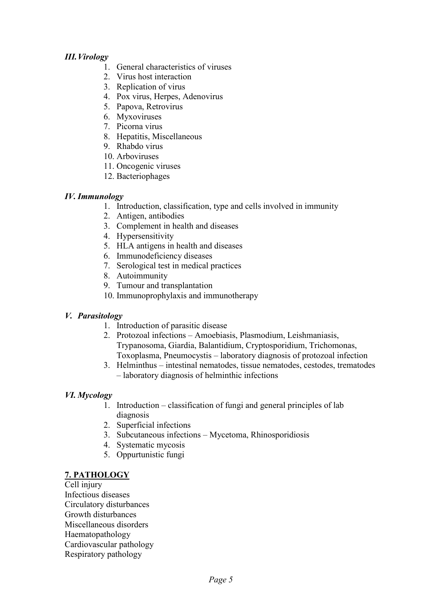## *<i>III. Virology*

- 1. General characteristics of viruses
- 2 Virus host interaction
- 3. Replication of virus
- 4. Pox virus, Herpes, Adenovirus
- 5. Papova, Retrovirus
- 6. Myxoviruses
- 7. Picorna virus
- 8. Hepatitis, Miscellaneous
- 9. Rhabdo virus
- 10. Arboviruses
- 11. Oncogenic viruses
- 12. Bacteriophages

## *IV. Immunology*

- 1. Introduction, classification, type and cells involved in immunity
- 2. Antigen, antibodies
- 3. Complement in health and diseases
- 4. Hypersensitivity
- 5. HLA antigens in health and diseases
- 6. Immunodeficiency diseases
- 7. Serological test in medical practices
- 8. Autoimmunity
- 9. Tumour and transplantation
- 10. Immunoprophylaxis and immunotherapy

## *V. Parasitology*

- 1. Introduction of parasitic disease
- 2. Protozoal infections Amoebiasis, Plasmodium, Leishmaniasis, Trypanosoma, Giardia, Balantidium, Cryptosporidium, Trichomonas, Toxoplasma, Pneumocystis – laboratory diagnosis of protozoal infection
- 3. Helminthus intestinal nematodes, tissue nematodes, cestodes, trematodes  $-$  laboratory diagnosis of helminthic infections

## *VI. Mycology*

- 1. Introduction classification of fungi and general principles of lab diagnosis
- 2. Superficial infections
- 3. Subcutaneous infections Mycetoma, Rhinosporidiosis
- 4. Systematic mycosis
- 5. Oppurtunistic fungi

## **7. PATHOLOGY**

Cell injury Infectious diseases Circulatory disturbances Growth disturbances Miscellaneous disorders Haematopathology Cardiovascular pathology Respiratory pathology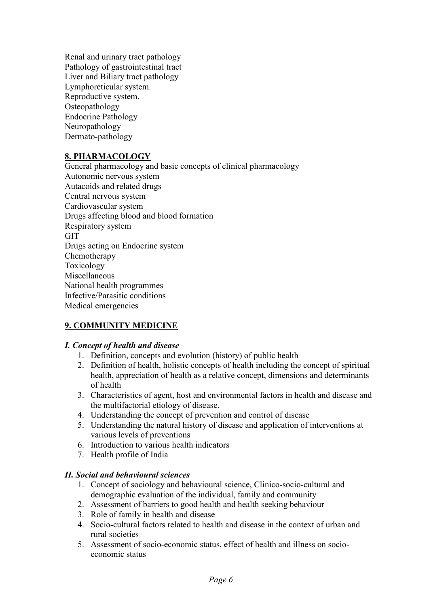Renal and urinary tract pathology Pathology of gastrointestinal tract Liver and Biliary tract pathology Lymphoreticular system. Reproductive system. Osteopathology **Endocrine Pathology** Neuropathology Dermato-pathology

## **8. PHARMACOLOGY**

General pharmacology and basic concepts of clinical pharmacology Autonomic nervous system Autacoids and related drugs Central nervous system Cardiovascular system Drugs affecting blood and blood formation Respiratory system **GIT** Drugs acting on Endocrine system Chemotherapy Toxicology Miscellaneous National health programmes Infective/Parasitic conditions Medical emergencies

## **9. COMMUNITY MEDICINE**

### I. Concept of health and disease

- 1. Definition, concepts and evolution (history) of public health
- 2. Definition of health, holistic concepts of health including the concept of spiritual health, appreciation of health as a relative concept, dimensions and determinants of health
- 3. Characteristics of agent, host and environmental factors in health and disease and the multifactorial etiology of disease.
- 4. Understanding the concept of prevention and control of disease
- 5. Understanding the natural history of disease and application of interventions at various levels of preventions
- 6. Introduction to various health indicators
- 7. Health profile of India

### **II.** Social and behavioural sciences

- 1. Concept of sociology and behavioural science, Clinico-socio-cultural and demographic evaluation of the individual, family and community
- 2. Assessment of barriers to good health and health seeking behaviour
- 3. Role of family in health and disease
- 4. Socio-cultural factors related to health and disease in the context of urban and rural societies
- 5. Assessment of socio-economic status, effect of health and illness on socioeconomic status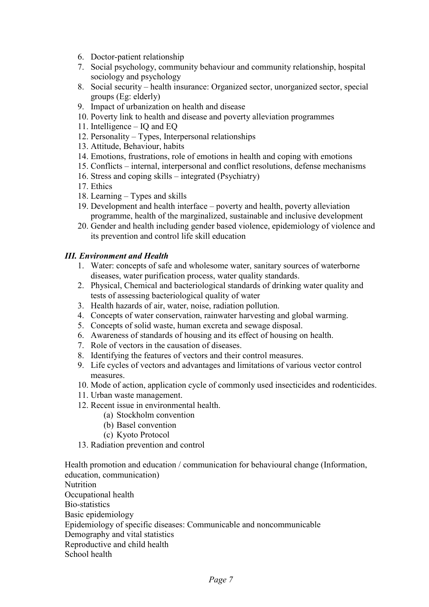- 6. Doctor-patient relationship
- 7. Social psychology, community behaviour and community relationship, hospital sociology and psychology
- 8. Social security health insurance: Organized sector, unorganized sector, special groups (Eg: elderly)
- 9. Impact of urbanization on health and disease
- 10. Poverty link to health and disease and poverty alleviation programmes
- 11. Intelligence IQ and EQ
- 12. Personality Types, Interpersonal relationships
- 13. Attitude, Behaviour, habits
- 14. Emotions, frustrations, role of emotions in health and coping with emotions
- 15. Conflicts internal, interpersonal and conflict resolutions, defense mechanisms
- 16. Stress and coping skills integrated (Psychiatry)
- 17. Ethics
- 18. Learning Types and skills
- 19. Development and health interface poverty and health, poverty alleviation programme, health of the marginalized, sustainable and inclusive development
- 20. Gender and health including gender based violence, epidemiology of violence and its prevention and control life skill education

## *<i>III. Environment and Health*

- 1. Water: concepts of safe and wholesome water, sanitary sources of waterborne diseases, water purification process, water quality standards.
- 2. Physical, Chemical and bacteriological standards of drinking water quality and tests of assessing bacteriological quality of water
- 3. Health hazards of air, water, noise, radiation pollution.
- 4. Concepts of water conservation, rainwater harvesting and global warming.
- 5. Concepts of solid waste, human excreta and sewage disposal.
- 6. Awareness of standards of housing and its effect of housing on health.
- 7. Role of vectors in the causation of diseases.
- 8. Identifying the features of vectors and their control measures.
- 9. Life cycles of vectors and advantages and limitations of various vector control measures
- 10. Mode of action, application cycle of commonly used insecticides and rodenticides.
- 11. Urban waste management.
- 12. Recent issue in environmental health.
	- (a) Stockholm convention
	- (b) Basel convention
	- (c) Kyoto Protocol
- 13. Radiation prevention and control

Health promotion and education / communication for behavioural change (Information, education, communication) Nutrition Occupational health Bio-statistics Basic epidemiology Epidemiology of specific diseases: Communicable and noncommunicable Demography and vital statistics Reproductive and child health School health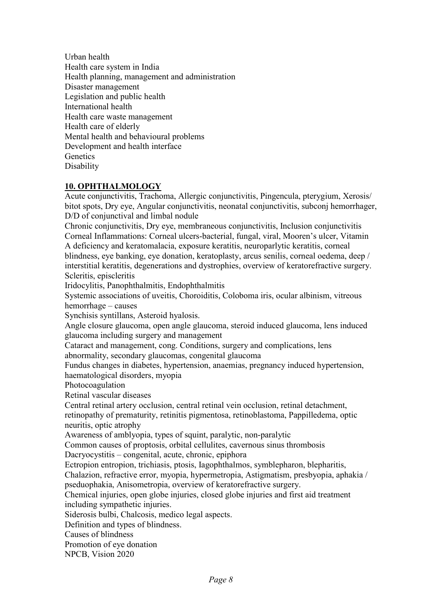Urban health Health care system in India Health planning, management and administration Disaster management Legislation and public health International health Health care waste management Health care of elderly Mental health and behavioural problems Development and health interface Genetics Disability

## **10. OPHTHALMOLOGY**

Acute conjunctivitis, Trachoma, Allergic conjunctivitis, Pingencula, ptervgium, Xerosis/ bitot spots, Dry eye, Angular conjunctivitis, neonatal conjunctivitis, subconj hemorrhager, D/D of conjunctival and limbal nodule

Chronic conjunctivitis. Dry eve, membraneous conjunctivitis, Inclusion conjunctivitis Corneal Inflammations: Corneal ulcers-bacterial, fungal, viral, Mooren's ulcer, Vitamin A deficiency and keratomalacia, exposure keratitis, neuroparlytic keratitis, corneal blindness, eye banking, eye donation, keratoplasty, arcus senilis, corneal oedema, deep / interstitial keratitis, degenerations and dystrophies, overview of keratorefractive surgery. Scleritis, episcleritis

Iridocylitis, Panophthalmitis, Endophthalmitis

Systemic associations of uveitis, Choroiditis, Coloboma iris, ocular albinism, vitreous hemorrhage – causes

Synchisis syntillans, Asteroid hyalosis.

Angle closure glaucoma, open angle glaucoma, steroid induced glaucoma, lens induced glaucoma including surgery and management

Cataract and management, cong. Conditions, surgery and complications, lens abnormality, secondary glaucomas, congenital glaucoma

Fundus changes in diabetes, hypertension, anaemias, pregnancy induced hypertension, haematological disorders, myopia

Photocoagulation

Retinal vascular diseases

Central retinal artery occlusion, central retinal vein occlusion, retinal detachment, retinopathy of prematurity, retinitis pigmentosa, retinoblastoma, Pappilledema, optic neuritis, optic atrophy

Awareness of amblyopia, types of squint, paralytic, non-paralytic

Common causes of proptosis, orbital cellulites, cavernous sinus thrombosis

Dacryocystitis – congenital, acute, chronic, epiphora

Ectropion entropion, trichiasis, ptosis, Iagophthalmos, symblepharon, blepharitis, Chalazion, refractive error, myopia, hypermetropia, Astigmatism, presbyopia, aphakia / pseduophakia, Anisometropia, overview of keratorefractive surgery.

Chemical injuries, open globe injuries, closed globe injuries and first aid treatment including sympathetic injuries.

Siderosis bulbi, Chalcosis, medico legal aspects.

Definition and types of blindness.

Causes of blindness

Promotion of eve donation

NPCB, Vision 2020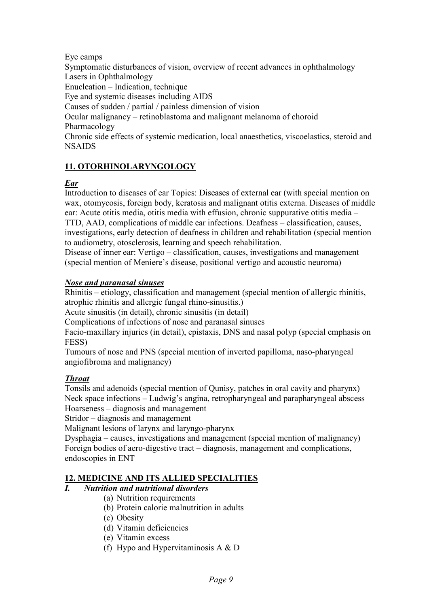## Eve camps

Symptomatic disturbances of vision, overview of recent advances in ophthalmology Lasers in Ophthalmology Enucleation – Indication, technique Eve and systemic diseases including AIDS Causes of sudden / partial / painless dimension of vision Ocular malignancy – retinoblastoma and malignant melanoma of choroid Pharmacology Chronic side effects of systemic medication, local anaesthetics, viscoelastics, steroid and **NSAIDS** 

## 11. OTORHINOLARYNGOLOGY

## **Ear**

Introduction to diseases of ear Topics: Diseases of external ear (with special mention on wax, otomycosis, foreign body, keratosis and malignant otitis externa. Diseases of middle ear: Acute otitis media, otitis media with effusion, chronic suppurative otitis media – TTD, AAD, complications of middle ear infections. Deafness – classification, causes, investigations, early detection of deafness in children and rehabilitation (special mention to audiometry, otosclerosis, learning and speech rehabilitation.

Disease of inner ear: Vertigo – classification, causes, investigations and management (special mention of Meniere's disease, positional vertigo and acoustic neuroma)

## **Nose and paranasal sinuses**

Rhinitis - etiology, classification and management (special mention of allergic rhinitis, atrophic rhinitis and allergic fungal rhino-sinusitis.)

Acute sinusitis (in detail), chronic sinusitis (in detail)

Complications of infections of nose and paranasal sinuses

Facio-maxillary injuries (in detail), epistaxis, DNS and nasal polyp (special emphasis on FESS)

Tumours of nose and PNS (special mention of inverted papilloma, naso-pharyngeal angiofibroma and malignancy)

## **Throat**

 $\boldsymbol{I}$ 

Tonsils and adenoids (special mention of Qunisy, patches in oral cavity and pharynx) Neck space infections – Ludwig's angina, retropharyngeal and parapharyngeal abscess Hoarseness – diagnosis and management

Stridor – diagnosis and management

Malignant lesions of larynx and laryngo-pharynx

Dysphagia – causes, investigations and management (special mention of malignancy) Foreign bodies of aero-digestive tract – diagnosis, management and complications, endoscopies in ENT

## **12. MEDICINE AND ITS ALLIED SPECIALITIES**

## **Nutrition and nutritional disorders**

- (a) Nutrition requirements
- (b) Protein calorie malnutrition in adults
- (c) Obesity
- (d) Vitamin deficiencies
- (e) Vitamin excess
- (f) Hypo and Hypervitaminosis A  $&D$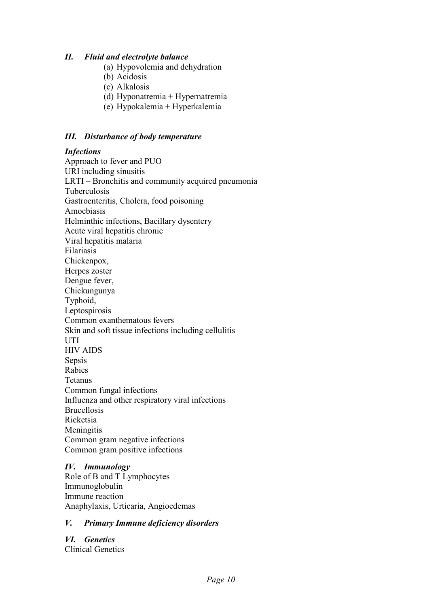#### $II.$ **Fluid and electrolyte balance**

- (a) Hypovolemia and dehydration
- (b) Acidosis
- (c) Alkalosis
- (d) Hyponatremia + Hypernatremia
- (e) Hypokalemia + Hyperkalemia

### **III.** Disturbance of body temperature

### **Infections**

Approach to fever and PUO URI including sinusitis LRTI – Bronchitis and community acquired pneumonia Tuberculosis Gastroenteritis, Cholera, food poisoning Amoebiasis Helminthic infections, Bacillary dysentery Acute viral hepatitis chronic Viral hepatitis malaria Filariasis Chickenpox, Herpes zoster Dengue fever, Chickungunya Typhoid, Leptospirosis Common exanthematous fevers Skin and soft tissue infections including cellulitis UTI **HIV AIDS** Sepsis Rabies Tetanus Common fungal infections Influenza and other respiratory viral infections **Brucellosis** Ricketsia Meningitis Common gram negative infections Common gram positive infections

## **IV.** Immunology

Role of B and T Lymphocytes Immunoglobulin Immune reaction Anaphylaxis, Urticaria, Angioedemas

#### V. **Primary Immune deficiency disorders**

VI. Genetics Clinical Genetics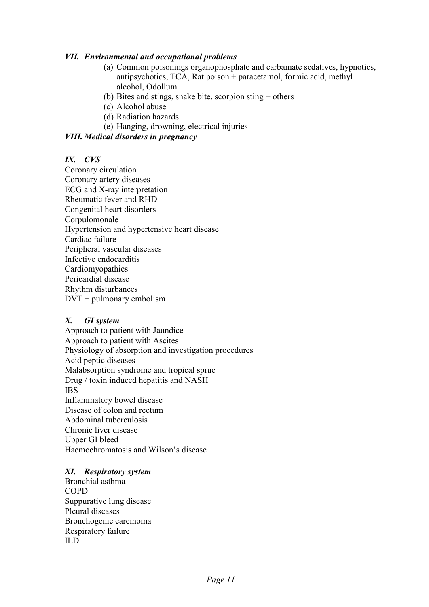### **VII.** Environmental and occupational problems

- (a) Common poisonings organophosphate and carbamate sedatives, hypnotics, antipsychotics. TCA. Rat poison + paracetamol. formic acid. methyl alcohol, Odollum
- (b) Bites and stings, snake bite, scorpion sting  $+$  others
- (c) Alcohol abuse
- (d) Radiation hazards
- (e) Hanging, drowning, electrical injuries

### **VIII. Medical disorders in pregnancy**

### $IX.$   $CVS$

Coronary circulation Coronary artery diseases ECG and X-ray interpretation Rheumatic fever and RHD Congenital heart disorders Corpulomonale Hypertension and hypertensive heart disease Cardiac failure Peripheral vascular diseases Infective endocarditis Cardiomyopathies Pericardial disease Rhythm disturbances  $DVT + \text{pulmonary embolism}$ 

#### **GI** system  $\boldsymbol{X}$ .

Approach to patient with Jaundice Approach to patient with Ascites Physiology of absorption and investigation procedures Acid peptic diseases Malabsorption syndrome and tropical sprue Drug / toxin induced hepatitis and NASH **IBS** Inflammatory bowel disease Disease of colon and rectum Abdominal tuberculosis Chronic liver disease Upper GI bleed Haemochromatosis and Wilson's disease

### XI. Respiratory system

Bronchial asthma **COPD** Suppurative lung disease Pleural diseases Bronchogenic carcinoma Respiratory failure  $ILD$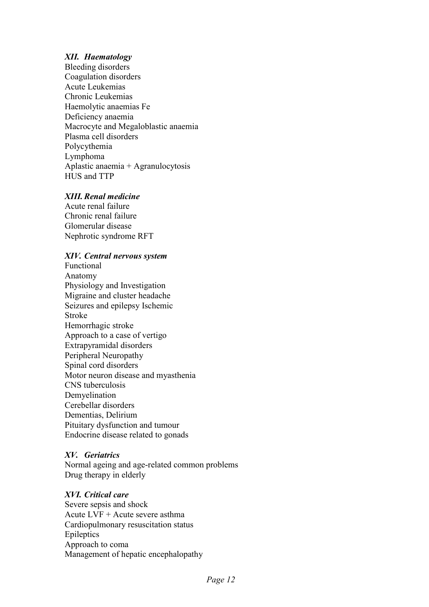### **XII.** Haematology

Bleeding disorders Coagulation disorders **Acute Leukemias** Chronic Leukemias Haemolytic anaemias Fe Deficiency anaemia Macrocyte and Megaloblastic anaemia Plasma cell disorders Polycythemia Lymphoma Aplastic anaemia + Agranulocytosis HUS and TTP

### **XIII.** Renal medicine

Acute renal failure Chronic renal failure Glomerular disease Nephrotic syndrome RFT

### XIV. Central nervous system

Functional Anatomy Physiology and Investigation Migraine and cluster headache Seizures and epilepsy Ischemic **Stroke** Hemorrhagic stroke Approach to a case of vertigo Extrapyramidal disorders Peripheral Neuropathy Spinal cord disorders Motor neuron disease and myasthenia CNS tuberculosis Demvelination Cerebellar disorders Dementias, Delirium Pituitary dysfunction and tumour Endocrine disease related to gonads

### XV. Geriatrics

Normal ageing and age-related common problems Drug therapy in elderly

### XVI. Critical care

Severe sepsis and shock Acute LVF + Acute severe asthma Cardiopulmonary resuscitation status Epileptics Approach to coma Management of hepatic encephalopathy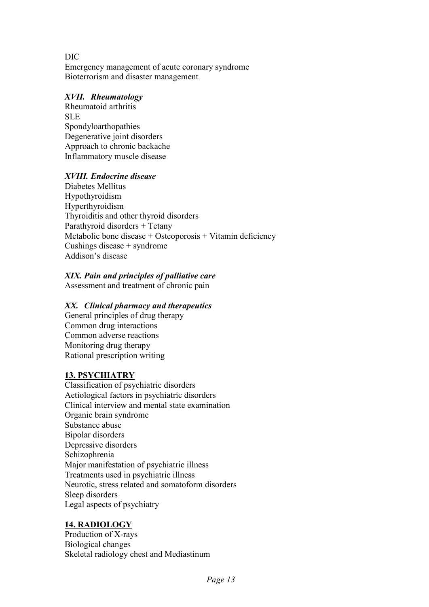**DIC** Emergency management of acute coronary syndrome Bioterrorism and disaster management

### **XVII.** Rheumatology

Rheumatoid arthritis **SLE** Spondyloarthopathies Degenerative joint disorders Approach to chronic backache Inflammatory muscle disease

### **XVIII.** Endocrine disease

Diabetes Mellitus Hypothyroidism Hyperthyroidism Thyroiditis and other thyroid disorders Parathyroid disorders + Tetany Metabolic bone disease + Osteoporosis + Vitamin deficiency Cushings disease  $+$  syndrome Addison's disease

## XIX. Pain and principles of palliative care

Assessment and treatment of chronic pain

### XX. Clinical pharmacy and therapeutics

General principles of drug therapy Common drug interactions Common adverse reactions Monitoring drug therapy Rational prescription writing

### **13. PSYCHIATRY**

Classification of psychiatric disorders Aetiological factors in psychiatric disorders Clinical interview and mental state examination Organic brain syndrome Substance abuse Bipolar disorders Depressive disorders Schizophrenia Major manifestation of psychiatric illness Treatments used in psychiatric illness Neurotic, stress related and somatoform disorders Sleep disorders Legal aspects of psychiatry

## 14. RADIOLOGY

Production of X-rays **Biological changes** Skeletal radiology chest and Mediastinum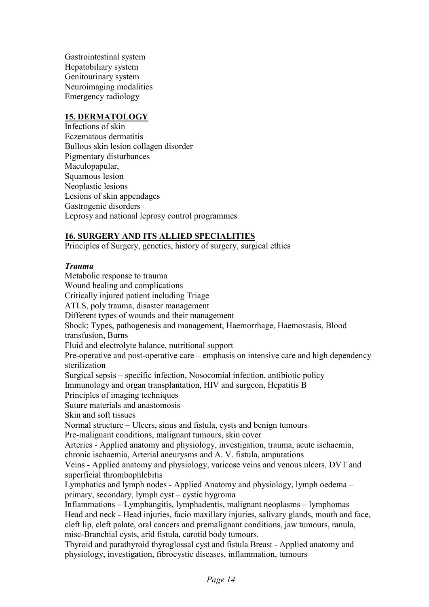Gastrointestinal system Hepatobiliary system Genitourinary system Neuroimaging modalities Emergency radiology

### **15. DERMATOLOGY**

Infections of skin Eczematous dermatitis Bullous skin lesion collagen disorder Pigmentary disturbances Maculopapular, Squamous lesion Neoplastic lesions Lesions of skin appendages Gastrogenic disorders Leprosy and national leprosy control programmes

## **16. SURGERY AND ITS ALLIED SPECIALITIES**

Principles of Surgery, genetics, history of surgery, surgical ethics

## **Trauma**

Metabolic response to trauma Wound healing and complications Critically injured patient including Triage ATLS, poly trauma, disaster management Different types of wounds and their management Shock: Types, pathogenesis and management, Haemorrhage, Haemostasis, Blood transfusion, Burns Fluid and electrolyte balance, nutritional support Pre-operative and post-operative care – emphasis on intensive care and high dependency sterilization Surgical sepsis – specific infection. Nosocomial infection, antibiotic policy Immunology and organ transplantation, HIV and surgeon, Hepatitis B Principles of imaging techniques Suture materials and anastomosis Skin and soft tissues Normal structure – Ulcers, sinus and fistula, cysts and benign tumours Pre-malignant conditions, malignant tumours, skin cover Arteries - Applied anatomy and physiology, investigation, trauma, acute ischaemia, chronic ischaemia, Arterial aneurysms and A. V. fistula, amputations Veins - Applied anatomy and physiology, varicose veins and venous ulcers, DVT and superficial thrombophlebitis Lymphatics and lymph nodes - Applied Anatomy and physiology, lymph oedema – primary, secondary, lymph cyst - cystic hygroma Inflammations – Lymphangitis, lymphadentis, malignant neoplasms – lymphomas Head and neck - Head injuries, facio maxillary injuries, salivary glands, mouth and face, cleft lip, cleft palate, oral cancers and premalignant conditions, jaw tumours, ranula, misc-Branchial cysts, arid fistula, carotid body tumours. Thyroid and parathyroid thyroglossal cyst and fistula Breast - Applied anatomy and physiology, investigation, fibrocystic diseases, inflammation, tumours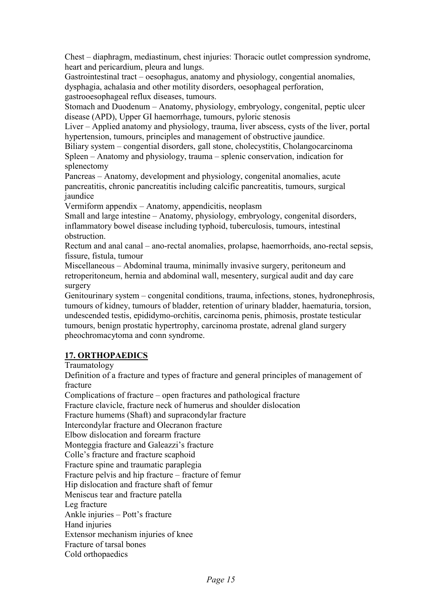Chest – diaphragm, mediastinum, chest injuries: Thoracic outlet compression syndrome, heart and pericardium, pleura and lungs.

Gastrointestinal tract – oesophagus, anatomy and physiology, congential anomalies, dysphagia, achalasia and other motility disorders, oesophageal perforation, gastrooesophageal reflux diseases, tumours.

Stomach and Duodenum – Anatomy, physiology, embryology, congenital, peptic ulcer disease (APD), Upper GI haemorrhage, tumours, pyloric stenosis

Liver – Applied anatomy and physiology, trauma, liver abscess, cysts of the liver, portal hypertension, tumours, principles and management of obstructive jaundice.

Biliary system – congential disorders, gall stone, cholecystitis, Cholangocarcinoma Spleen – Anatomy and physiology, trauma – splenic conservation, indication for splenectomy

Pancreas – Anatomy, development and physiology, congenital anomalies, acute pancreatitis, chronic pancreatitis including calcific pancreatitis, tumours, surgical iaundice

Vermiform appendix - Anatomy, appendicitis, neoplasm

Small and large intestine – Anatomy, physiology, embryology, congenital disorders, inflammatory bowel disease including typhoid, tuberculosis, tumours, intestinal obstruction.

Rectum and anal canal – ano-rectal anomalies, prolapse, haemorrhoids, ano-rectal sepsis, fissure, fistula, tumour

Miscellaneous – Abdominal trauma, minimally invasive surgery, peritoneum and retroperitoneum, hernia and abdominal wall, mesentery, surgical audit and day care surgery

Genitourinary system – congenital conditions, trauma, infections, stones, hydronephrosis, tumours of kidney, tumours of bladder, retention of urinary bladder, haematuria, torsion, undescended testis, epididymo-orchitis, carcinoma penis, phimosis, prostate testicular tumours, benign prostatic hypertrophy, carcinoma prostate, adrenal gland surgery pheochromacytoma and conn syndrome.

## **17. ORTHOPAEDICS**

Traumatology

Definition of a fracture and types of fracture and general principles of management of fracture

Complications of fracture – open fractures and pathological fracture Fracture clavicle, fracture neck of humerus and shoulder dislocation Fracture humems (Shaft) and supracondylar fracture Intercondylar fracture and Olecranon fracture Elbow dislocation and forearm fracture Monteggia fracture and Galeazzi's fracture Colle's fracture and fracture scaphoid Fracture spine and traumatic paraplegia Fracture pelvis and hip fracture – fracture of femur Hip dislocation and fracture shaft of femur Meniscus tear and fracture patella Leg fracture Ankle injuries – Pott's fracture Hand injuries Extensor mechanism injuries of knee Fracture of tarsal bones Cold orthopaedics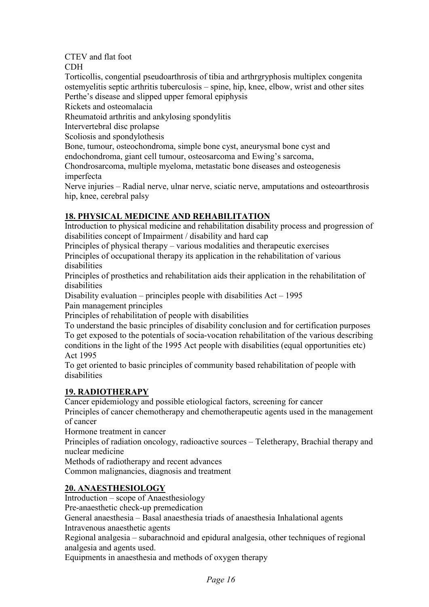## CTEV and flat foot

**CDH** 

Torticollis, congential pseudoarthrosis of tibia and arthreprophosis multiplex congenita ostemyelitis septic arthritis tuberculosis – spine, hip, knee, elbow, wrist and other sites Perthe's disease and slipped upper femoral epiphysis

Rickets and osteomalacia

Rheumatoid arthritis and ankylosing spondylitis

Intervertebral disc prolapse

Scoliosis and spondylothesis

Bone, tumour, osteochondroma, simple bone cyst, aneurysmal bone cyst and endochondroma, giant cell tumour, osteosarcoma and Ewing's sarcoma,

Chondrosarcoma, multiple myeloma, metastatic bone diseases and osteogenesis imperfecta

Nerve injuries – Radial nerve, ulnar nerve, sciatic nerve, amputations and osteoarthrosis hip, knee, cerebral palsy

# **18. PHYSICAL MEDICINE AND REHABILITATION**

Introduction to physical medicine and rehabilitation disability process and progression of disabilities concept of Impairment / disability and hard cap

Principles of physical therapy – various modalities and therapeutic exercises

Principles of occupational therapy its application in the rehabilitation of various disabilities

Principles of prosthetics and rehabilitation aids their application in the rehabilitation of disabilities

Disability evaluation – principles people with disabilities  $Act - 1995$ 

Pain management principles

Principles of rehabilitation of people with disabilities

To understand the basic principles of disability conclusion and for certification purposes To get exposed to the potentials of socia-vocation rehabilitation of the various describing conditions in the light of the 1995 Act people with disabilities (equal opportunities etc) Act 1995

To get oriented to basic principles of community based rehabilitation of people with disabilities

# **19. RADIOTHERAPY**

Cancer epidemiology and possible etiological factors, screening for cancer

Principles of cancer chemotherapy and chemotherapeutic agents used in the management of cancer

Hormone treatment in cancer

Principles of radiation oncology, radioactive sources – Teletherapy, Brachial therapy and nuclear medicine

Methods of radiotherapy and recent advances

Common malignancies, diagnosis and treatment

# **20. ANAESTHESIOLOGY**

 $Introduction - scope of Anaesthesiology$ 

Pre-anaesthetic check-up premedication

General anaesthesia - Basal anaesthesia triads of anaesthesia Inhalational agents Intravenous anaesthetic agents

Regional analgesia – subarachnoid and epidural analgesia, other techniques of regional analgesia and agents used.

Equipments in anaesthesia and methods of oxygen therapy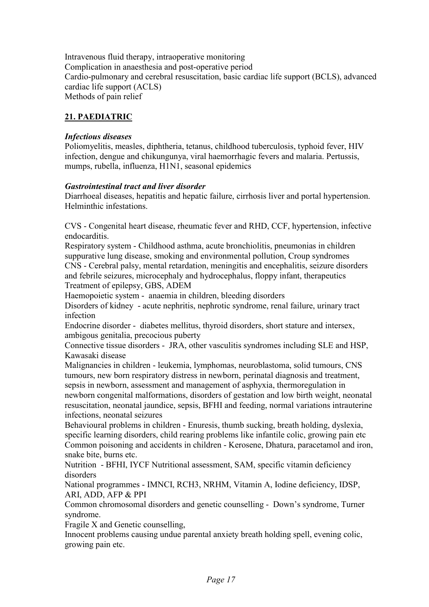Intravenous fluid therapy, intraoperative monitoring Complication in anaesthesia and post-operative period Cardio-pulmonary and cerebral resuscitation, basic cardiac life support (BCLS), advanced cardiac life support (ACLS) Methods of pain relief

## 21. PAEDIATRIC

### **Infectious diseases**

Poliomyelitis, measles, diphtheria, tetanus, childhood tuberculosis, typhoid fever, HIV infection, dengue and chikungunya, viral haemorrhagic fevers and malaria. Pertussis, mumps, rubella, influenza, H1N1, seasonal epidemics

### **Gastrointestinal tract and liver disorder**

Diarrhoeal diseases, hepatitis and hepatic failure, cirrhosis liver and portal hypertension. Helminthic infestations.

CVS - Congenital heart disease, rheumatic fever and RHD, CCF, hypertension, infective endocarditis.

Respiratory system - Childhood asthma, acute bronchiolitis, pneumonias in children suppurative lung disease, smoking and environmental pollution, Croup syndromes CNS - Cerebral palsy, mental retardation, meningitis and encephalitis, seizure disorders and febrile seizures, microcephaly and hydrocephalus, floppy infant, therapeutics Treatment of epilepsy, GBS, ADEM

Haemopoietic system - anaemia in children, bleeding disorders

Disorders of kidney - acute nephritis, nephrotic syndrome, renal failure, urinary tract infection

Endocrine disorder - diabetes mellitus, thyroid disorders, short stature and intersex, ambigous genitalia, precocious puberty

Connective tissue disorders - JRA, other vasculitis syndromes including SLE and HSP, Kawasaki disease

Malignancies in children - leukemia, lymphomas, neuroblastoma, solid tumours, CNS tumours, new born respiratory distress in newborn, perinatal diagnosis and treatment. sepsis in newborn, assessment and management of asphyxia, thermoregulation in newborn congenital malformations, disorders of gestation and low birth weight, neonatal resuscitation, neonatal jaundice, sepsis, BFHI and feeding, normal variations intrauterine infections, neonatal seizures

Behavioural problems in children - Enuresis, thumb sucking, breath holding, dvslexia, specific learning disorders, child rearing problems like infantile colic, growing pain etc Common poisoning and accidents in children - Kerosene, Dhatura, paracetamol and iron, snake bite, burns etc.

Nutrition - BFHI, IYCF Nutritional assessment, SAM, specific vitamin deficiency disorders

National programmes - IMNCI, RCH3, NRHM, Vitamin A, Iodine deficiency, IDSP, ARI, ADD, AFP & PPI

Common chromosomal disorders and genetic counselling - Down's syndrome, Turner syndrome.

Fragile X and Genetic counselling,

Innocent problems causing undue parental anxiety breath holding spell, evening colic, growing pain etc.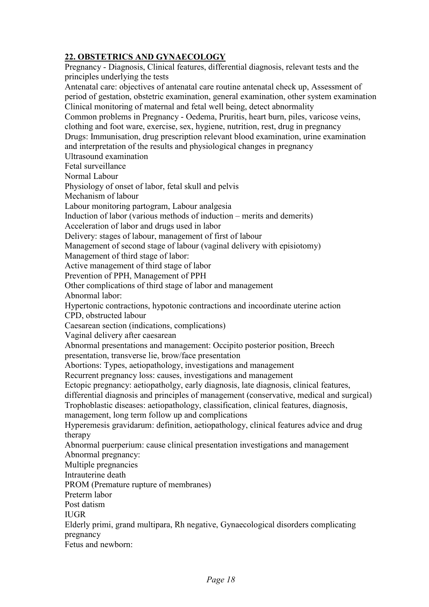## 22. OBSTETRICS AND GYNAECOLOGY

Pregnancy - Diagnosis, Clinical features, differential diagnosis, relevant tests and the principles underlying the tests Antenatal care: objectives of antenatal care routine antenatal check up, Assessment of period of gestation, obstetric examination, general examination, other system examination Clinical monitoring of maternal and fetal well being, detect abnormality Common problems in Pregnancy - Oedema, Pruritis, heart burn, piles, varicose veins, clothing and foot ware, exercise, sex, hygiene, nutrition, rest, drug in pregnancy Drugs: Immunisation, drug prescription relevant blood examination, urine examination and interpretation of the results and physiological changes in pregnancy **Ultrasound** examination Fetal surveillance Normal Labour Physiology of onset of labor, fetal skull and pelvis Mechanism of labour Labour monitoring partogram, Labour analgesia Induction of labor (various methods of induction – merits and demerits) Acceleration of labor and drugs used in labor Delivery: stages of labour, management of first of labour Management of second stage of labour (vaginal delivery with episiotomy) Management of third stage of labor: Active management of third stage of labor Prevention of PPH, Management of PPH Other complications of third stage of labor and management Abnormal labor: Hypertonic contractions, hypotonic contractions and incoordinate uterine action CPD, obstructed labour Caesarean section (indications, complications) Vaginal delivery after caesarean Abnormal presentations and management: Occipito posterior position, Breech presentation, transverse lie, brow/face presentation Abortions: Types, aetiopathology, investigations and management Recurrent pregnancy loss: causes, investigations and management Ectopic pregnancy: aetiopatholgy, early diagnosis, late diagnosis, clinical features, differential diagnosis and principles of management (conservative, medical and surgical) Trophoblastic diseases: aetiopathology, classification, clinical features, diagnosis, management, long term follow up and complications Hyperemesis gravidarum: definition. aetiopathology, clinical features advice and drug therapy Abnormal puerperium: cause clinical presentation investigations and management Abnormal pregnancy: Multiple pregnancies Intrauterine death PROM (Premature rupture of membranes) Preterm labor Post datism **IUGR** Elderly primi, grand multipara, Rh negative, Gynaecological disorders complicating pregnancy Fetus and newborn.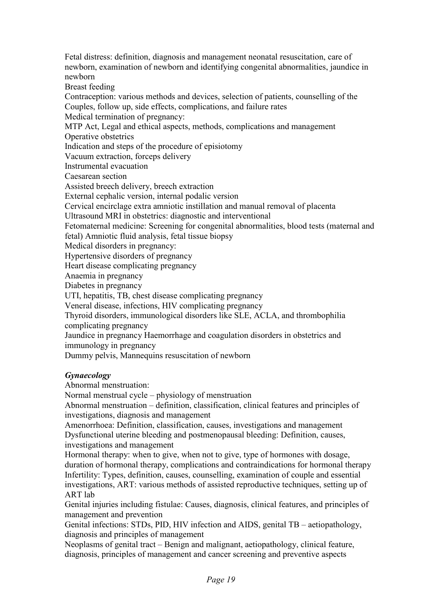Fetal distress: definition, diagnosis and management neonatal resuscitation, care of newborn, examination of newborn and identifying congenital abnormalities, jaundice in newhorn

Breast feeding

Contraception: various methods and devices, selection of patients, counselling of the Couples, follow up, side effects, complications, and failure rates

Medical termination of pregnancy:

MTP Act, Legal and ethical aspects, methods, complications and management

Operative obstetrics

Indication and steps of the procedure of episiotomy

Vacuum extraction, forceps delivery

Instrumental evacuation

Caesarean section

Assisted breech delivery, breech extraction

External cephalic version, internal podalic version

Cervical encirclage extra amniotic instillation and manual removal of placenta

Ultrasound MRI in obstetrics: diagnostic and interventional

Fetomaternal medicine: Screening for congenital abnormalities, blood tests (maternal and fetal) Amniotic fluid analysis, fetal tissue biopsy

Medical disorders in pregnancy:

Hypertensive disorders of pregnancy

Heart disease complicating pregnancy

Anaemia in pregnancy

Diabetes in pregnancy

UTI, hepatitis, TB, chest disease complicating pregnancy

Veneral disease, infections, HIV complicating pregnancy

Thyroid disorders, immunological disorders like SLE, ACLA, and thrombophilia complicating pregnancy

Jaundice in pregnancy Haemorrhage and coagulation disorders in obstetrics and immunology in pregnancy

Dummy pelvis, Mannequins resuscitation of newborn

## **Gynaecology**

Abnormal menstruation:

Normal menstrual cycle – physiology of menstruation

Abnormal menstruation – definition, classification, clinical features and principles of investigations, diagnosis and management

Amenorrhoea: Definition, classification, causes, investigations and management Dysfunctional uterine bleeding and postmenopausal bleeding: Definition, causes, investigations and management

Hormonal therapy: when to give, when not to give, type of hormones with dosage, duration of hormonal therapy, complications and contraindications for hormonal therapy Infertility: Types, definition, causes, counselling, examination of couple and essential investigations, ART: various methods of assisted reproductive techniques, setting up of ART lab

Genital injuries including fistulae: Causes, diagnosis, clinical features, and principles of management and prevention

Genital infections: STDs, PID, HIV infection and AIDS, genital TB – aetiopathology, diagnosis and principles of management

Neoplasms of genital tract – Benign and malignant, aetiopathology, clinical feature, diagnosis, principles of management and cancer screening and preventive aspects